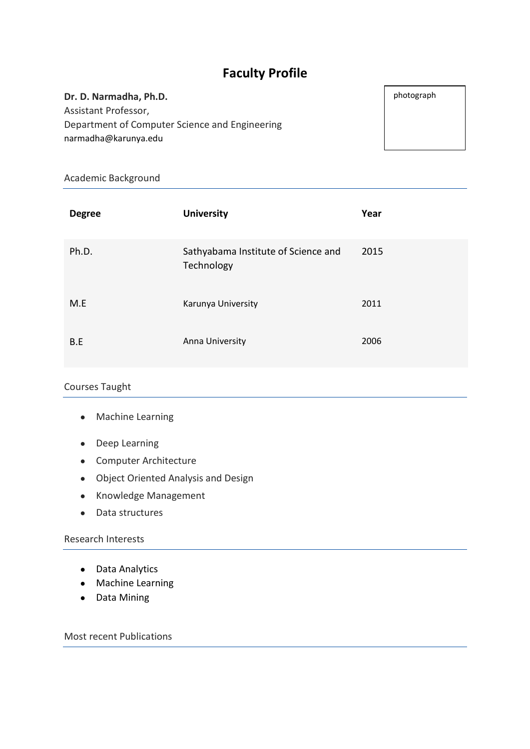# **Faculty Profile**

#### **Dr. D. Narmadha, Ph.D.**

Assistant Professor, Department of Computer Science and Engineering narmadha@karunya.edu

Academic Background

| <b>Degree</b> | <b>University</b>                                 | Year |
|---------------|---------------------------------------------------|------|
| Ph.D.         | Sathyabama Institute of Science and<br>Technology | 2015 |
| M.E           | Karunya University                                | 2011 |
| B.E           | Anna University                                   | 2006 |

## Courses Taught

- Machine Learning
- Deep Learning
- Computer Architecture
- Object Oriented Analysis and Design
- Knowledge Management
- Data structures

### Research Interests

- Data Analytics
- Machine Learning
- Data Mining

Most recent Publications

photograph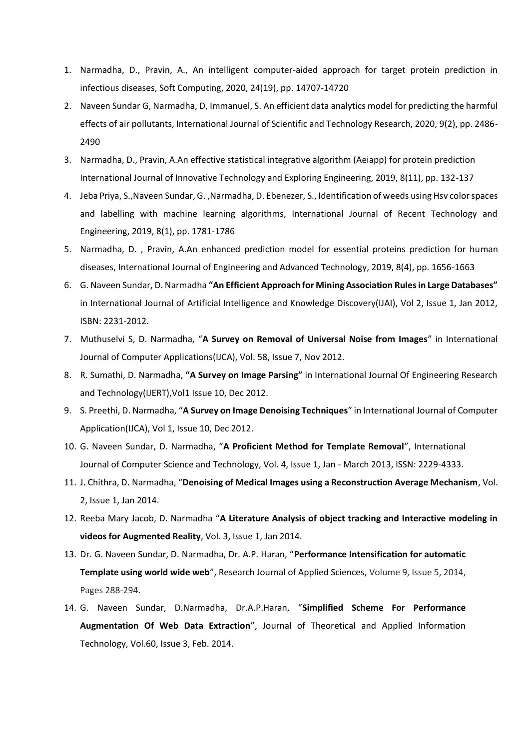- 1. Narmadha, D., Pravin, A., An intelligent computer-aided approach for target protein prediction in infectious diseases, Soft Computing, 2020, 24(19), pp. 14707-14720
- 2. Naveen Sundar G, Narmadha, D, Immanuel, S. An efficient data analytics model for predicting the harmful effects of air pollutants, International Journal of Scientific and Technology Research, 2020, 9(2), pp. 2486- 2490
- 3. Narmadha, D., Pravin, A.An effective statistical integrative algorithm (Aeiapp) for protein prediction International Journal of Innovative Technology and Exploring Engineering, 2019, 8(11), pp. 132-137
- 4. Jeba Priya, S.,Naveen Sundar, G. ,Narmadha, D. Ebenezer, S., Identification of weeds using Hsv color spaces and labelling with machine learning algorithms, International Journal of Recent Technology and Engineering, 2019, 8(1), pp. 1781-1786
- 5. Narmadha, D. , Pravin, A.An enhanced prediction model for essential proteins prediction for human diseases, International Journal of Engineering and Advanced Technology, 2019, 8(4), pp. 1656-1663
- 6. G. Naveen Sundar, D. Narmadha **"An Efficient Approach for Mining Association Rules in Large Databases"**  in International Journal of Artificial Intelligence and Knowledge Discovery(IJAI), Vol 2, Issue 1, Jan 2012, ISBN: 2231-2012.
- 7. Muthuselvi S, D. Narmadha, "**A Survey on Removal of Universal Noise from Images**" in International Journal of Computer Applications(IJCA), Vol. 58, Issue 7, Nov 2012.
- 8. R. Sumathi, D. Narmadha, **"A Survey on Image Parsing"** in International Journal Of Engineering Research and Technology(IJERT),Vol1 Issue 10, Dec 2012.
- 9. S. Preethi, D. Narmadha, "**A Survey on Image Denoising Techniques**" in International Journal of Computer Application(IJCA), Vol 1, Issue 10, Dec 2012.
- 10. G. Naveen Sundar, D. Narmadha, "**A Proficient Method for Template Removal**", International Journal of Computer Science and Technology, Vol. 4, Issue 1, Jan - March 2013, ISSN: 2229-4333.
- 11. J. Chithra, D. Narmadha, "**Denoising of Medical Images using a Reconstruction Average Mechanism**, Vol. 2, Issue 1, Jan 2014.
- 12. Reeba Mary Jacob, D. Narmadha "**A Literature Analysis of object tracking and Interactive modeling in videos for Augmented Reality**, Vol. 3, Issue 1, Jan 2014.
- 13. Dr. G. Naveen Sundar, D. Narmadha, Dr. A.P. Haran, "**Performance Intensification for automatic Template using world wide web**", Research Journal of Applied Sciences, Volume 9, Issue 5, 2014, Pages 288-294**.**
- 14. G. Naveen Sundar, D.Narmadha, Dr.A.P.Haran, "**Simplified Scheme For Performance Augmentation Of Web Data Extraction**", Journal of Theoretical and Applied Information Technology, Vol.60, Issue 3, Feb. 2014.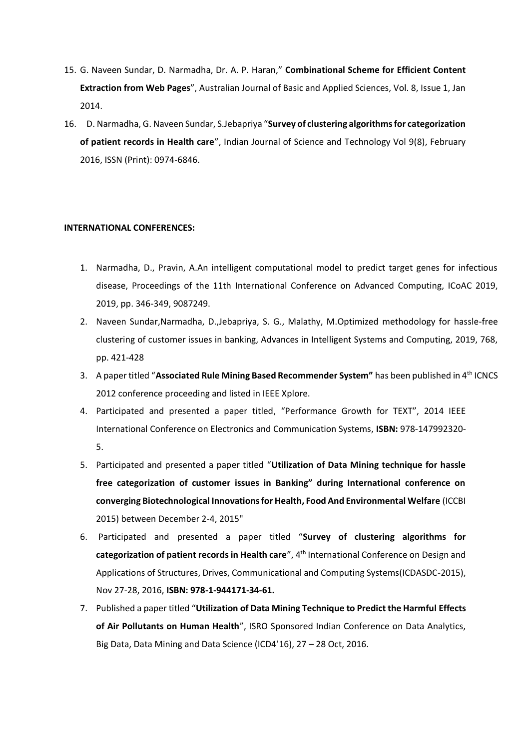- 15. G. Naveen Sundar, D. Narmadha, Dr. A. P. Haran," **Combinational Scheme for Efficient Content Extraction from Web Pages**", Australian Journal of Basic and Applied Sciences, Vol. 8, Issue 1, Jan 2014.
- 16. D. Narmadha, G. Naveen Sundar, S.Jebapriya "**Survey of clustering algorithms for categorization of patient records in Health care**", Indian Journal of Science and Technology Vol 9(8), February 2016, ISSN (Print): 0974-6846.

#### **INTERNATIONAL CONFERENCES:**

- 1. Narmadha, D., Pravin, A.An intelligent computational model to predict target genes for infectious disease, Proceedings of the 11th International Conference on Advanced Computing, ICoAC 2019, 2019, pp. 346-349, 9087249.
- 2. Naveen Sundar,Narmadha, D.,Jebapriya, S. G., Malathy, M.Optimized methodology for hassle-free clustering of customer issues in banking, Advances in Intelligent Systems and Computing, 2019, 768, pp. 421-428
- 3. A paper titled "**Associated Rule Mining Based Recommender System"** has been published in 4th ICNCS 2012 conference proceeding and listed in IEEE Xplore.
- 4. Participated and presented a paper titled, "Performance Growth for TEXT", 2014 IEEE International Conference on Electronics and Communication Systems, **ISBN:** 978-147992320- 5.
- 5. Participated and presented a paper titled "**Utilization of Data Mining technique for hassle free categorization of customer issues in Banking" during International conference on converging Biotechnological Innovations for Health, Food And Environmental Welfare** (ICCBI 2015) between December 2-4, 2015"
- 6. Participated and presented a paper titled "**Survey of clustering algorithms for categorization of patient records in Health care**", 4th International Conference on Design and Applications of Structures, Drives, Communicational and Computing Systems(ICDASDC-2015), Nov 27-28, 2016, **ISBN: 978-1-944171-34-61.**
- 7. Published a paper titled "**Utilization of Data Mining Technique to Predict the Harmful Effects of Air Pollutants on Human Health**", ISRO Sponsored Indian Conference on Data Analytics, Big Data, Data Mining and Data Science (ICD4'16), 27 – 28 Oct, 2016.